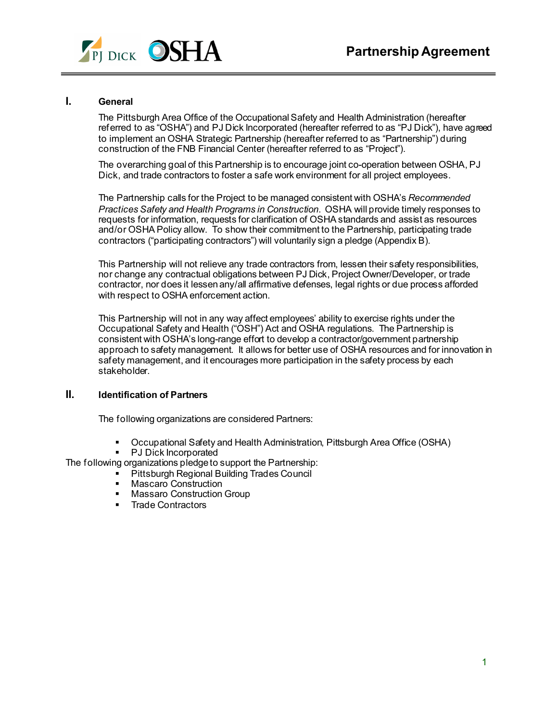

## **I. General**

The Pittsburgh Area Office of the Occupational Safety and Health Administration (hereafter referred to as "OSHA") and PJ Dick Incorporated (hereafter referred to as "PJ Dick"), have agreed to implement an OSHA Strategic Partnership (hereafter referred to as "Partnership") during construction of the FNB Financial Center (hereafter referred to as "Project").

The overarching goal of this Partnership is to encourage joint co-operation between OSHA, PJ Dick, and trade contractors to foster a safe work environment for all project employees.

The Partnership calls for the Project to be managed consistent with OSHA's *Recommended Practices Safety and Health Programs in Construction*. OSHA will provide timely responses to requests for information, requests for clarification of OSHA standards and assist as resources and/or OSHA Policy allow. To show their commitment to the Partnership, participating trade contractors ("participating contractors") will voluntarily sign a pledge (Appendix B).

This Partnership will not relieve any trade contractors from, lessen their safety responsibilities, nor change any contractual obligations between PJ Dick, Project Owner/Developer, or trade contractor, nor does it lessen any/all affirmative defenses, legal rights or due process afforded with respect to OSHA enforcement action.

This Partnership will not in any way affect employees' ability to exercise rights under the Occupational Safety and Health ("OSH") Act and OSHA regulations. The Partnership is consistent with OSHA's long-range effort to develop a contractor/government partnership approach to safety management. It allows for better use of OSHA resources and for innovation in safety management, and it encourages more participation in the safety process by each stakeholder.

## **II. Identification of Partners**

The following organizations are considered Partners:

- Occupational Safety and Health Administration, Pittsburgh Area Office (OSHA)<br>■ PJ Dick Incorporated
- PJ Dick Incorporated

The following organizations pledge to support the Partnership:

- **Pittsburgh Regional Building Trades Council** 
	- **Mascaro Construction**
	- **Massaro Construction Group**
	- **Trade Contractors**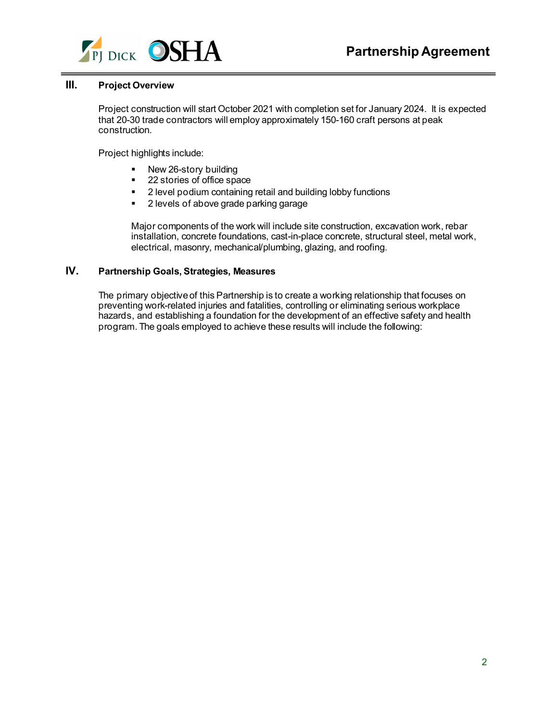

# **III. Project Overview**

Project construction will start October 2021 with completion set for January 2024. It is expected that 20-30 trade contractors will employ approximately 150-160 craft persons at peak construction.

Project highlights include:

- New 26-story building
- 22 stories of office space
- **2** level podium containing retail and building lobby functions
- 2 levels of above grade parking garage

Major components of the work will include site construction, excavation work, rebar installation, concrete foundations, cast-in-place concrete, structural steel, metal work, electrical, masonry, mechanical/plumbing, glazing, and roofing.

# **IV. Partnership Goals, Strategies, Measures**

The primary objective of this Partnership is to create a working relationship that focuses on preventing work-related injuries and fatalities, controlling or eliminating serious workplace hazards, and establishing a foundation for the development of an effective safety and health program. The goals employed to achieve these results will include the following: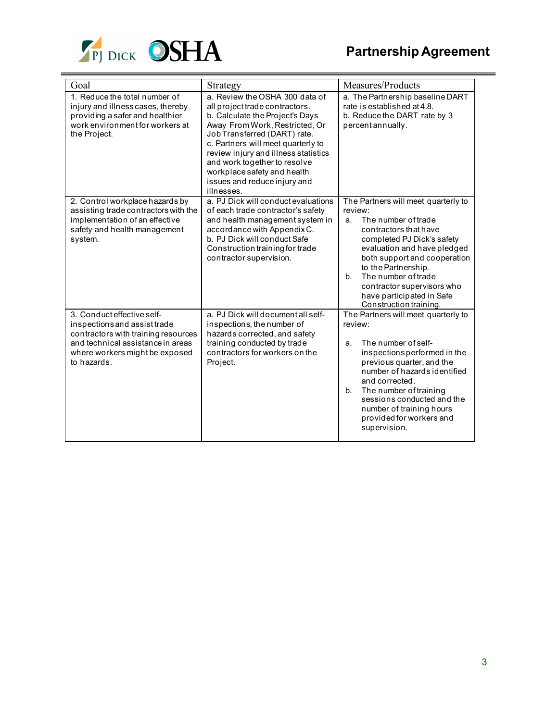

| Goal                                                                                                                                                                                    | Strategy                                                                                                                                                                                                                                                                                                                                                         | Measures/Products                                                                                                                                                                                                                                                                                                                          |
|-----------------------------------------------------------------------------------------------------------------------------------------------------------------------------------------|------------------------------------------------------------------------------------------------------------------------------------------------------------------------------------------------------------------------------------------------------------------------------------------------------------------------------------------------------------------|--------------------------------------------------------------------------------------------------------------------------------------------------------------------------------------------------------------------------------------------------------------------------------------------------------------------------------------------|
| 1. Reduce the total number of<br>injury and illness cases, thereby<br>providing a safer and healthier<br>work environment for workers at<br>the Project.                                | a. Review the OSHA 300 data of<br>all project trade contractors.<br>b. Calculate the Project's Days<br>Away From Work, Restricted, Or<br>Job Transferred (DART) rate.<br>c. Partners will meet quarterly to<br>review injury and illness statistics<br>and work together to resolve<br>workplace safety and health<br>issues and reduce injury and<br>illnesses. | a. The Partnership baseline DART<br>rate is established at 4.8.<br>b. Reduce the DART rate by 3<br>percent annually.                                                                                                                                                                                                                       |
| 2. Control workplace hazards by<br>assisting trade contractors with the<br>implementation of an effective<br>safety and health management<br>system.                                    | a. PJ Dick will conduct evaluations<br>of each trade contractor's safety<br>and health management system in<br>accordance with Appendix C.<br>b. PJ Dick will conduct Safe<br>Construction training for trade<br>contractor supervision.                                                                                                                         | The Partners will meet quarterly to<br>review:<br>The number of trade<br>a.<br>contractors that have<br>completed PJ Dick's safety<br>evaluation and have pledged<br>both support and cooperation<br>to the Partnership.<br>The number of trade<br>b.<br>contractor supervisors who<br>have participated in Safe<br>Construction training. |
| 3. Conduct effective self-<br>inspections and assist trade<br>contractors with training resources<br>and technical assistance in areas<br>where workers might be exposed<br>to hazards. | a. PJ Dick will document all self-<br>inspections, the number of<br>hazards corrected, and safety<br>training conducted by trade<br>contractors for workers on the<br>Project.                                                                                                                                                                                   | The Partners will meet quarterly to<br>review:<br>The number of self-<br>a.<br>inspections performed in the<br>previous quarter, and the<br>number of hazards identified<br>and corrected.<br>The number of training<br>b.<br>sessions conducted and the<br>number of training hours<br>provided for workers and<br>supervision.           |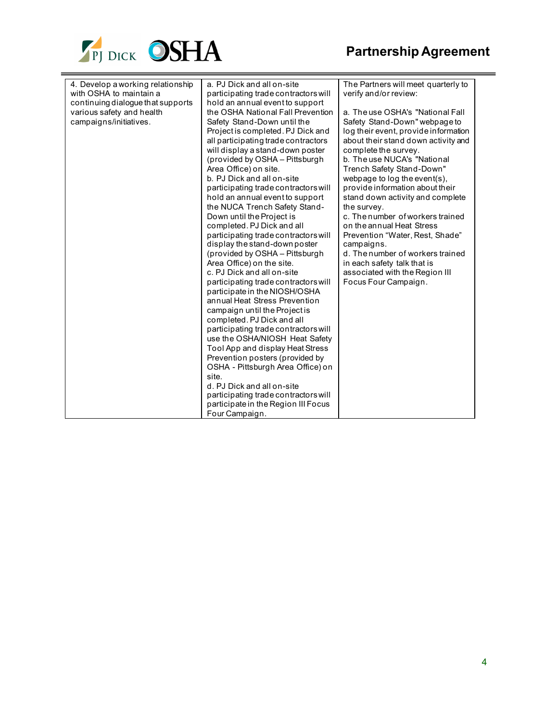

| 4. Develop a working relationship<br>with OSHA to maintain a | a. PJ Dick and all on-site                                              | The Partners will meet quarterly to  |
|--------------------------------------------------------------|-------------------------------------------------------------------------|--------------------------------------|
| continuing dialogue that supports                            | participating trade contractors will<br>hold an annual event to support | verify and/or review:                |
| various safety and health                                    | the OSHA National Fall Prevention                                       | a. The use OSHA's "National Fall     |
| campaigns/initiatives.                                       | Safety Stand-Down until the                                             | Safety Stand-Down" webpage to        |
|                                                              | Project is completed. PJ Dick and                                       | log their event, provide information |
|                                                              | all participating trade contractors                                     | about their stand down activity and  |
|                                                              | will display a stand-down poster                                        | complete the survey.                 |
|                                                              | (provided by OSHA - Pittsburgh                                          | b. The use NUCA's "National          |
|                                                              | Area Office) on site.                                                   | Trench Safety Stand-Down"            |
|                                                              | b. PJ Dick and all on-site                                              | webpage to log the event(s),         |
|                                                              | participating trade contractors will                                    | provide information about their      |
|                                                              | hold an annual event to support                                         | stand down activity and complete     |
|                                                              | the NUCA Trench Safety Stand-                                           | the survey.                          |
|                                                              | Down until the Project is                                               | c. The number of workers trained     |
|                                                              | completed. PJ Dick and all                                              | on the annual Heat Stress            |
|                                                              | participating trade contractors will                                    | Prevention "Water, Rest, Shade"      |
|                                                              | display the stand-down poster                                           | campaigns.                           |
|                                                              | (provided by OSHA - Pittsburgh                                          | d. The number of workers trained     |
|                                                              | Area Office) on the site.                                               | in each safety talk that is          |
|                                                              | c. PJ Dick and all on-site                                              | associated with the Region III       |
|                                                              | participating trade contractors will                                    | Focus Four Campaign.                 |
|                                                              | participate in the NIOSH/OSHA                                           |                                      |
|                                                              | annual Heat Stress Prevention                                           |                                      |
|                                                              | campaign until the Project is                                           |                                      |
|                                                              | completed. PJ Dick and all                                              |                                      |
|                                                              | participating trade contractors will                                    |                                      |
|                                                              | use the OSHA/NIOSH Heat Safety                                          |                                      |
|                                                              | Tool App and display Heat Stress                                        |                                      |
|                                                              | Prevention posters (provided by                                         |                                      |
|                                                              | OSHA - Pittsburgh Area Office) on                                       |                                      |
|                                                              | site.                                                                   |                                      |
|                                                              | d. PJ Dick and all on-site                                              |                                      |
|                                                              | participating trade contractors will                                    |                                      |
|                                                              | participate in the Region III Focus                                     |                                      |
|                                                              | Four Campaign.                                                          |                                      |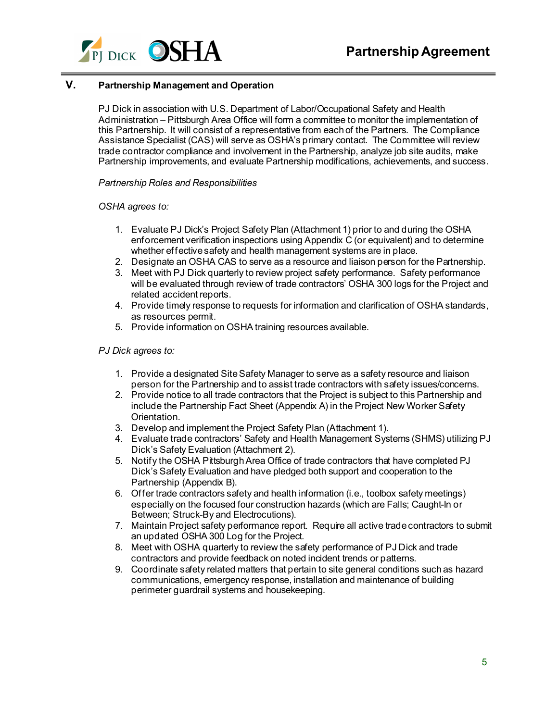

# **V. Partnership Management and Operation**

PJ Dick in association with U.S. Department of Labor/Occupational Safety and Health Administration – Pittsburgh Area Office will form a committee to monitor the implementation of this Partnership. It will consist of a representative from each of the Partners. The Compliance Assistance Specialist (CAS) will serve as OSHA's primary contact. The Committee will review trade contractor compliance and involvement in the Partnership, analyze job site audits, make Partnership improvements, and evaluate Partnership modifications, achievements, and success.

### *Partnership Roles and Responsibilities*

## *OSHA agrees to:*

- 1. Evaluate PJ Dick's Project Safety Plan (Attachment 1) prior to and during the OSHA enforcement verification inspections using Appendix C (or equivalent) and to determine whether effective safety and health management systems are in place.
- 2. Designate an OSHA CAS to serve as a resource and liaison person for the Partnership.
- 3. Meet with PJ Dick quarterly to review project safety performance. Safety performance will be evaluated through review of trade contractors' OSHA 300 logs for the Project and related accident reports.
- 4. Provide timely response to requests for information and clarification of OSHA standards, as resources permit.
- 5. Provide information on OSHA training resources available.

## *PJ Dick agrees to:*

- 1. Provide a designated Site Safety Manager to serve as a safety resource and liaison person for the Partnership and to assist trade contractors with safety issues/concerns.
- 2. Provide notice to all trade contractors that the Project is subject to this Partnership and include the Partnership Fact Sheet (Appendix A) in the Project New Worker Safety Orientation.
- 3. Develop and implement the Project Safety Plan (Attachment 1).
- 4. Evaluate trade contractors' Safety and Health Management Systems (SHMS) utilizing PJ Dick's Safety Evaluation (Attachment 2).
- 5. Notify the OSHA Pittsburgh Area Office of trade contractors that have completed PJ Dick's Safety Evaluation and have pledged both support and cooperation to the Partnership (Appendix B).
- 6. Offer trade contractors safety and health information (i.e., toolbox safety meetings) especially on the focused four construction hazards (which are Falls; Caught-In or Between; Struck-By and Electrocutions).
- 7. Maintain Project safety performance report. Require all active trade contractors to submit an updated OSHA 300 Log for the Project.
- 8. Meet with OSHA quarterly to review the safety performance of PJ Dick and trade contractors and provide feedback on noted incident trends or patterns.
- 9. Coordinate safety related matters that pertain to site general conditions such as hazard communications, emergency response, installation and maintenance of building perimeter guardrail systems and housekeeping.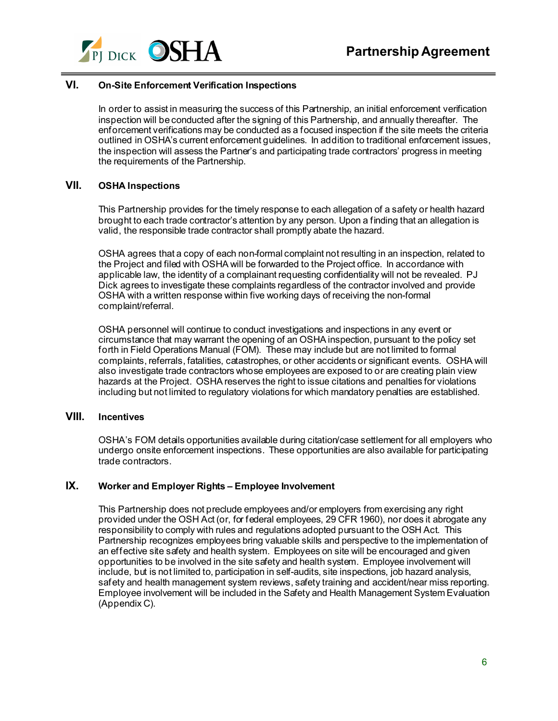

# **VI. On-Site Enforcement Verification Inspections**

In order to assist in measuring the success of this Partnership, an initial enforcement verification inspection will be conducted after the signing of this Partnership, and annually thereafter. The enforcement verifications may be conducted as a focused inspection if the site meets the criteria outlined in OSHA's current enforcement guidelines. In addition to traditional enforcement issues, the inspection will assess the Partner's and participating trade contractors' progress in meeting the requirements of the Partnership.

# **VII. OSHA Inspections**

This Partnership provides for the timely response to each allegation of a safety or health hazard brought to each trade contractor's attention by any person. Upon a finding that an allegation is valid, the responsible trade contractor shall promptly abate the hazard.

OSHA agrees that a copy of each non-formal complaint not resulting in an inspection, related to the Project and filed with OSHA will be forwarded to the Project office. In accordance with applicable law, the identity of a complainant requesting confidentiality will not be revealed. PJ Dick agrees to investigate these complaints regardless of the contractor involved and provide OSHA with a written response within five working days of receiving the non-formal complaint/referral.

OSHA personnel will continue to conduct investigations and inspections in any event or circumstance that may warrant the opening of an OSHA inspection, pursuant to the policy set forth in Field Operations Manual (FOM). These may include but are not limited to formal complaints, referrals, fatalities, catastrophes, or other accidents or significant events. OSHA will also investigate trade contractors whose employees are exposed to or are creating plain view hazards at the Project. OSHA reserves the right to issue citations and penalties for violations including but not limited to regulatory violations for which mandatory penalties are established.

# **VIII. Incentives**

OSHA's FOM details opportunities available during citation/case settlement for all employers who undergo onsite enforcement inspections. These opportunities are also available for participating trade contractors.

## **IX. Worker and Employer Rights – Employee Involvement**

This Partnership does not preclude employees and/or employers from exercising any right provided under the OSH Act (or, for federal employees, 29 CFR 1960), nor does it abrogate any responsibility to comply with rules and regulations adopted pursuant to the OSH Act. This Partnership recognizes employees bring valuable skills and perspective to the implementation of an effective site safety and health system. Employees on site will be encouraged and given opportunities to be involved in the site safety and health system. Employee involvement will include, but is not limited to, participation in self-audits, site inspections, job hazard analysis, safety and health management system reviews, safety training and accident/near miss reporting. Employee involvement will be included in the Safety and Health Management System Evaluation (Appendix C).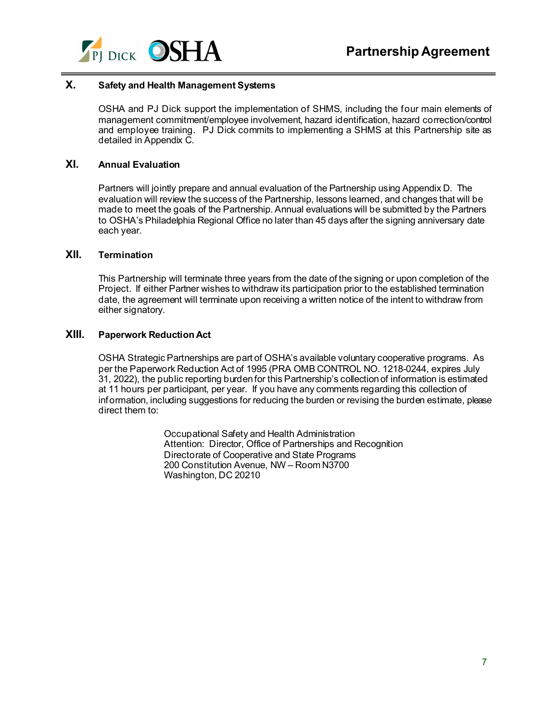

# **X. Safety and Health Management Systems**

OSHA and PJ Dick support the implementation of SHMS, including the four main elements of management commitment/employee involvement, hazard identification, hazard correction/control and employee training. PJ Dick commits to implementing a SHMS at this Partnership site as detailed in Appendix C.

### **XI. Annual Evaluation**

Partners will jointly prepare and annual evaluation of the Partnership using Appendix D. The evaluation will review the success of the Partnership, lessons learned, and changes that will be made to meet the goals of the Partnership. Annual evaluations will be submitted by the Partners to OSHA's Philadelphia Regional Office no later than 45 days after the signing anniversary date each year.

# **XII. Termination**

This Partnership will terminate three years from the date of the signing or upon completion of the Project. If either Partner wishes to withdraw its participation prior to the established termination date, the agreement will terminate upon receiving a written notice of the intent to withdraw from either signatory.

### **XIII. Paperwork Reduction Act**

OSHA Strategic Partnerships are part of OSHA's available voluntary cooperative programs. As per the Paperwork Reduction Act of 1995 (PRA OMB CONTROL NO. 1218-0244, expires July 31, 2022), the public reporting burden for this Partnership's collection of information is estimated at 11 hours per participant, per year. If you have any comments regarding this collection of information, including suggestions for reducing the burden or revising the burden estimate, please direct them to:

> Occupational Safety and Health Administration Attention: Director, Office of Partnerships and Recognition Directorate of Cooperative and State Programs 200 Constitution Avenue, NW – Room N3700 Washington, DC 20210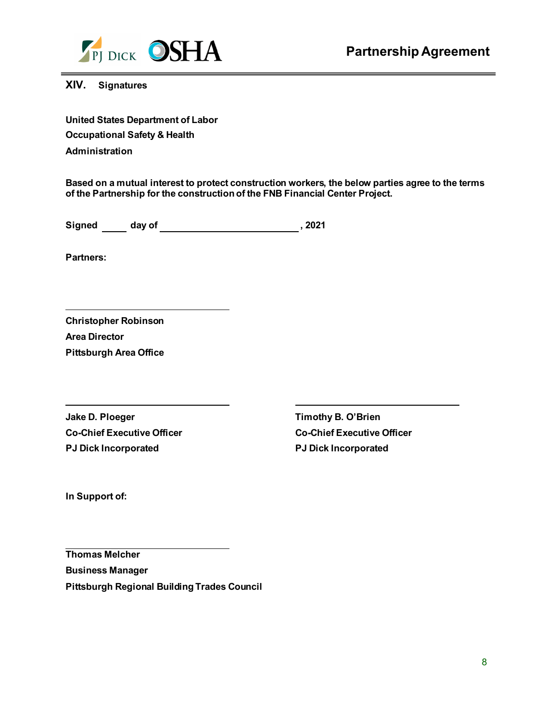

# **XIV. Signatures**

**United States Department of Labor Occupational Safety & Health Administration**

**Based on a mutual interest to protect construction workers, the below parties agree to the terms of the Partnership for the construction of the FNB Financial Center Project.** 

**Signed day of 3021**, 2021

**Partners:** 

**Christopher Robinson Area Director Pittsburgh Area Office** 

**Jake D. Ploeger Community B. O'Brien Co-Chief Executive Officer Co-Chief Executive Officer PJ Dick Incorporated PJ Dick Incorporated**

**In Support of:**

 **Thomas Melcher Business Manager Pittsburgh Regional Building Trades Council**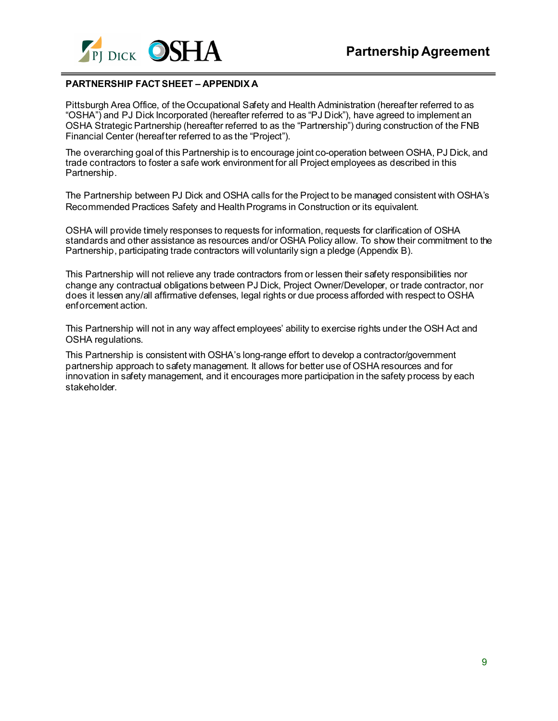

## **PARTNERSHIP FACT SHEET – APPENDIX A**

Pittsburgh Area Office, of the Occupational Safety and Health Administration (hereafter referred to as "OSHA") and PJ Dick Incorporated (hereafter referred to as "PJ Dick"), have agreed to implement an OSHA Strategic Partnership (hereafter referred to as the "Partnership") during construction of the FNB Financial Center (hereafter referred to as the "Project").

The overarching goal of this Partnership is to encourage joint co-operation between OSHA, PJ Dick, and trade contractors to foster a safe work environment for all Project employees as described in this Partnership.

The Partnership between PJ Dick and OSHA calls for the Project to be managed consistent with OSHA's Recommended Practices Safety and Health Programs in Construction or its equivalent.

OSHA will provide timely responses to requests for information, requests for clarification of OSHA standards and other assistance as resources and/or OSHA Policy allow. To show their commitment to the Partnership, participating trade contractors will voluntarily sign a pledge (Appendix B).

This Partnership will not relieve any trade contractors from or lessen their safety responsibilities nor change any contractual obligations between PJ Dick, Project Owner/Developer, or trade contractor, nor does it lessen any/all affirmative defenses, legal rights or due process afforded with respect to OSHA enforcement action.

This Partnership will not in any way affect employees' ability to exercise rights under the OSH Act and OSHA regulations.

This Partnership is consistent with OSHA's long-range effort to develop a contractor/government partnership approach to safety management. It allows for better use of OSHA resources and for innovation in safety management, and it encourages more participation in the safety process by each stakeholder.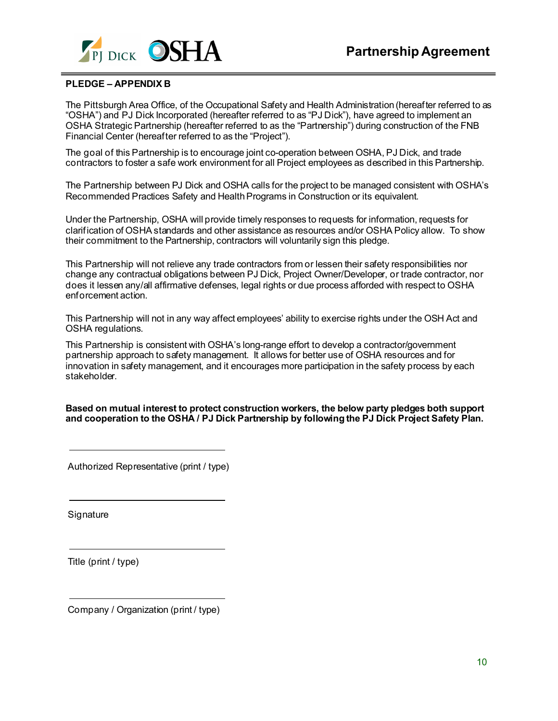

### **PLEDGE – APPENDIX B**

The Pittsburgh Area Office, of the Occupational Safety and Health Administration (hereafter referred to as "OSHA") and PJ Dick Incorporated (hereafter referred to as "PJ Dick"), have agreed to implement an OSHA Strategic Partnership (hereafter referred to as the "Partnership") during construction of the FNB Financial Center (hereafter referred to as the "Project").

The goal of this Partnership is to encourage joint co-operation between OSHA, PJ Dick, and trade contractors to foster a safe work environment for all Project employees as described in this Partnership.

The Partnership between PJ Dick and OSHA calls for the project to be managed consistent with OSHA's Recommended Practices Safety and Health Programs in Construction or its equivalent.

Under the Partnership, OSHA will provide timely responses to requests for information, requests for clarification of OSHA standards and other assistance as resources and/or OSHA Policy allow. To show their commitment to the Partnership, contractors will voluntarily sign this pledge.

This Partnership will not relieve any trade contractors from or lessen their safety responsibilities nor change any contractual obligations between PJ Dick, Project Owner/Developer, or trade contractor, nor does it lessen any/all affirmative defenses, legal rights or due process afforded with respect to OSHA enforcement action.

This Partnership will not in any way affect employees' ability to exercise rights under the OSH Act and OSHA regulations.

This Partnership is consistent with OSHA's long-range effort to develop a contractor/government partnership approach to safety management. It allows for better use of OSHA resources and for innovation in safety management, and it encourages more participation in the safety process by each stakeholder.

**Based on mutual interest to protect construction workers, the below party pledges both support and cooperation to the OSHA / PJ Dick Partnership by following the PJ Dick Project Safety Plan.** 

Authorized Representative (print / type)

**Signature** 

Title (print / type)

Company / Organization (print / type)